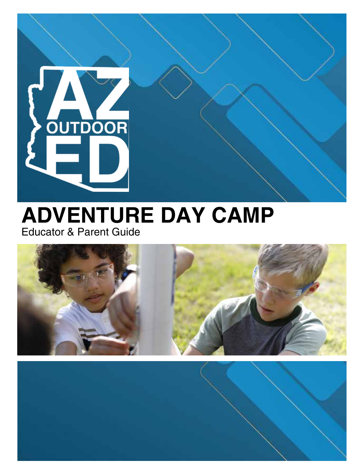

### **ADVENTURE DAY CAMP** Educator & Parent Guide



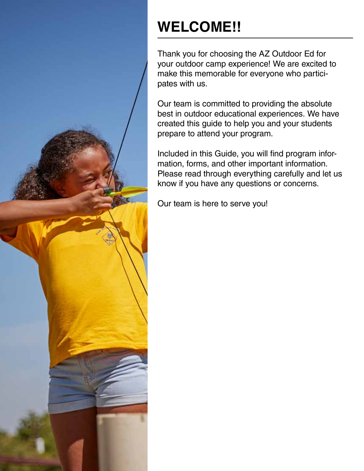

## **WELCOME!!**

Thank you for choosing the AZ Outdoor Ed for your outdoor camp experience! We are excited to make this memorable for everyone who participates with us.

Our team is committed to providing the absolute best in outdoor educational experiences. We have created this guide to help you and your students prepare to attend your program.

Included in this Guide, you will find program information, forms, and other important information. Please read through everything carefully and let us know if you have any questions or concerns.

Our team is here to serve you!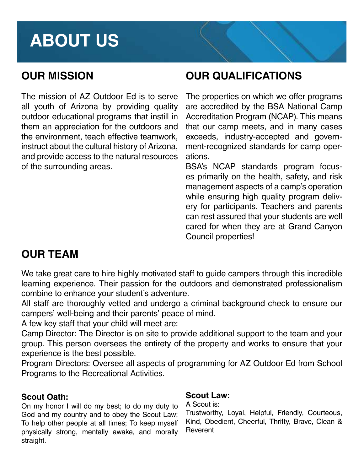## **ABOUT US**

### **OUR MISSION**

The mission of AZ Outdoor Ed is to serve all youth of Arizona by providing quality outdoor educational programs that instill in them an appreciation for the outdoors and the environment, teach effective teamwork, instruct about the cultural history of Arizona, and provide access to the natural resources of the surrounding areas.

### **OUR QUALIFICATIONS**

The properties on which we offer programs are accredited by the BSA National Camp Accreditation Program (NCAP). This means that our camp meets, and in many cases exceeds, industry-accepted and government-recognized standards for camp operations.

BSA's NCAP standards program focuses primarily on the health, safety, and risk management aspects of a camp's operation while ensuring high quality program delivery for participants. Teachers and parents can rest assured that your students are well cared for when they are at Grand Canyon Council properties!

### **OUR TEAM**

We take great care to hire highly motivated staff to guide campers through this incredible learning experience. Their passion for the outdoors and demonstrated professionalism combine to enhance your student's adventure.

All staff are thoroughly vetted and undergo a criminal background check to ensure our campers' well-being and their parents' peace of mind.

A few key staff that your child will meet are:

Camp Director: The Director is on site to provide additional support to the team and your group. This person oversees the entirety of the property and works to ensure that your experience is the best possible.

Program Directors: Oversee all aspects of programming for AZ Outdoor Ed from School Programs to the Recreational Activities.

#### **Scout Oath:**

On my honor I will do my best; to do my duty to God and my country and to obey the Scout Law; To help other people at all times; To keep myself physically strong, mentally awake, and morally straight.

#### **Scout Law:**

A Scout is:

Trustworthy, Loyal, Helpful, Friendly, Courteous, Kind, Obedient, Cheerful, Thrifty, Brave, Clean & **Reverent**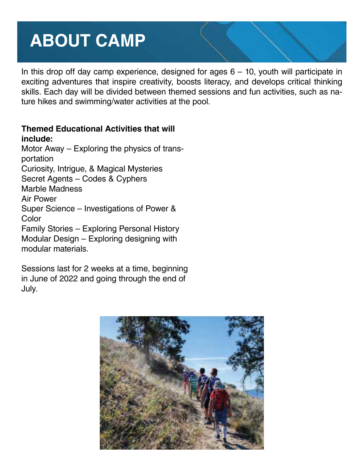## **ABOUT CAMP**

In this drop off day camp experience, designed for ages  $6 - 10$ , youth will participate in exciting adventures that inspire creativity, boosts literacy, and develops critical thinking skills. Each day will be divided between themed sessions and fun activities, such as nature hikes and swimming/water activities at the pool.

#### **Themed Educational Activities that will include:**

Motor Away – Exploring the physics of transportation Curiosity, Intrigue, & Magical Mysteries Secret Agents – Codes & Cyphers Marble Madness Air Power Super Science – Investigations of Power & **Color** Family Stories – Exploring Personal History Modular Design – Exploring designing with modular materials.

Sessions last for 2 weeks at a time, beginning in June of 2022 and going through the end of July.

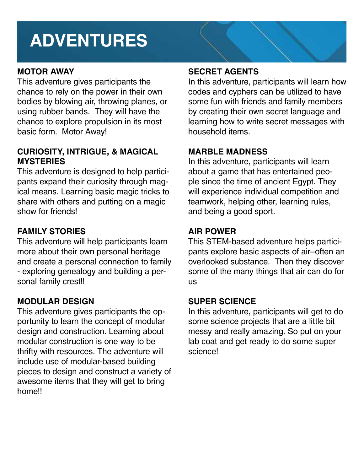## **ADVENTURES**

#### **MOTOR AWAY**

This adventure gives participants the chance to rely on the power in their own bodies by blowing air, throwing planes, or using rubber bands. They will have the chance to explore propulsion in its most basic form. Motor Away!

#### **CURIOSITY, INTRIGUE, & MAGICAL MYSTERIES**

This adventure is designed to help participants expand their curiosity through magical means. Learning basic magic tricks to share with others and putting on a magic show for friends!

#### **FAMILY STORIES**

This adventure will help participants learn more about their own personal heritage and create a personal connection to family - exploring genealogy and building a personal family crest!!

#### **MODULAR DESIGN**

This adventure gives participants the opportunity to learn the concept of modular design and construction. Learning about modular construction is one way to be thrifty with resources. The adventure will include use of modular-based building pieces to design and construct a variety of awesome items that they will get to bring home!!

#### **SECRET AGENTS**

In this adventure, participants will learn how codes and cyphers can be utilized to have some fun with friends and family members by creating their own secret language and learning how to write secret messages with household items.

#### **MARBLE MADNESS**

In this adventure, participants will learn about a game that has entertained people since the time of ancient Egypt. They will experience individual competition and teamwork, helping other, learning rules, and being a good sport.

#### **AIR POWER**

This STEM-based adventure helps participants explore basic aspects of air–often an overlooked substance. Then they discover some of the many things that air can do for us

#### **SUPER SCIENCE**

In this adventure, participants will get to do some science projects that are a little bit messy and really amazing. So put on your lab coat and get ready to do some super science!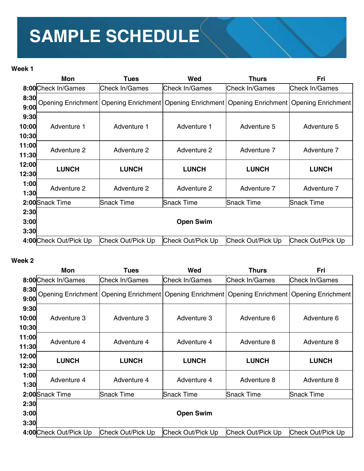# **SAMPLE SCHEDULE**

#### **Week 1**

|                        | Mon<br>Tues            |                   | Wed                | <b>Thurs</b>      | Fri                                                                                                    |
|------------------------|------------------------|-------------------|--------------------|-------------------|--------------------------------------------------------------------------------------------------------|
|                        | 8:00 Check In/Games    | Check In/Games    | Check In/Games     | Check In/Games    | Check In/Games                                                                                         |
| 8:30<br>9:00           |                        |                   |                    |                   | Opening Enrichment   Opening Enrichment   Opening Enrichment   Opening Enrichment   Opening Enrichment |
| 9:30<br>10:00<br>10:30 | Adventure 1            | Adventure 1       | Adventure 1        | Adventure 5       | Adventure 5                                                                                            |
| 11:00<br>11:30         | Adventure 2            | Adventure 2       | <b>Adventure 2</b> | Adventure 7       | Adventure 7                                                                                            |
| 12:00<br>12:30         | <b>LUNCH</b>           | <b>LUNCH</b>      | <b>LUNCH</b>       | <b>LUNCH</b>      | <b>LUNCH</b>                                                                                           |
| 1:00<br>1:30           | Adventure 2            | Adventure 2       | Adventure 2        | Adventure 7       | Adventure 7                                                                                            |
|                        | 2:00 Snack Time        | Snack Time        | Snack Time         | Snack Time        | Snack Time                                                                                             |
| 2:30<br>3:00<br>3:30   |                        |                   | <b>Open Swim</b>   |                   |                                                                                                        |
|                        | 4:00 Check Out/Pick Up | Check Out/Pick Up | Check Out/Pick Up  | Check Out/Pick Up | Check Out/Pick Up                                                                                      |

#### **Week 2**

|                        | Mon                    | <b>Tues</b>       | Wed               | <b>Thurs</b>      | Fri                                                                                                    |
|------------------------|------------------------|-------------------|-------------------|-------------------|--------------------------------------------------------------------------------------------------------|
|                        | 8:00 Check In/Games    | Check In/Games    | Check In/Games    | Check In/Games    | Check In/Games                                                                                         |
| 8:30<br>9:00           |                        |                   |                   |                   | Opening Enrichment   Opening Enrichment   Opening Enrichment   Opening Enrichment   Opening Enrichment |
| 9:30<br>10:00<br>10:30 | Adventure 3            | Adventure 3       | Adventure 3       | Adventure 6       | Adventure 6                                                                                            |
| 11:00<br>11:30         | Adventure 4            | Adventure 4       | Adventure 4       | Adventure 8       | Adventure 8                                                                                            |
| 12:00<br>12:30         | <b>LUNCH</b>           | <b>LUNCH</b>      | <b>LUNCH</b>      | <b>LUNCH</b>      | <b>LUNCH</b>                                                                                           |
| 1:00<br>1:30           | Adventure 4            | Adventure 4       | Adventure 4       | Adventure 8       | Adventure 8                                                                                            |
|                        | 2:00 Snack Time        | Snack Time        | Snack Time        | Snack Time        | Snack Time                                                                                             |
| 2:30                   |                        |                   |                   |                   |                                                                                                        |
| 3:00<br>3:30           |                        |                   | <b>Open Swim</b>  |                   |                                                                                                        |
|                        | 4:00 Check Out/Pick Up | Check Out/Pick Up | Check Out/Pick Up | Check Out/Pick Up | Check Out/Pick Up                                                                                      |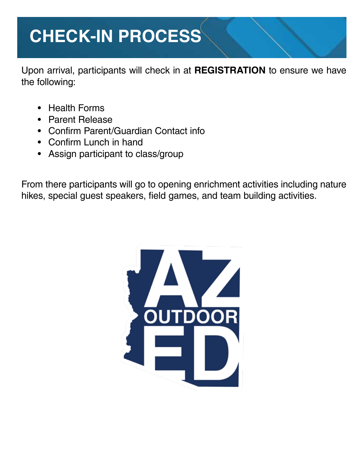## **CHECK-IN PROCESS**

Upon arrival, participants will check in at **REGISTRATION** to ensure we have the following:

- Health Forms
- Parent Release
- Confirm Parent/Guardian Contact info
- Confirm Lunch in hand
- Assign participant to class/group

From there participants will go to opening enrichment activities including nature hikes, special guest speakers, field games, and team building activities.

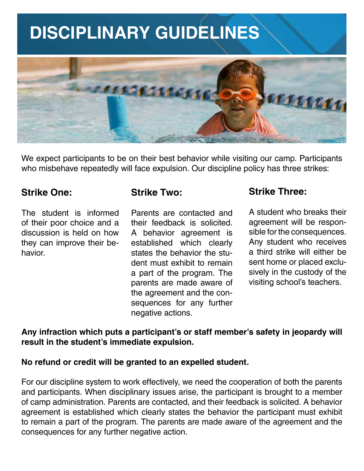## **DISCIPLINARY GUIDELINES**



We expect participants to be on their best behavior while visiting our camp. Participants who misbehave repeatedly will face expulsion. Our discipline policy has three strikes:

#### **Strike One:**

The student is informed of their poor choice and a discussion is held on how they can improve their behavior.

#### **Strike Two:**

Parents are contacted and their feedback is solicited. A behavior agreement is established which clearly states the behavior the student must exhibit to remain a part of the program. The parents are made aware of the agreement and the consequences for any further negative actions.

### **Strike Three:**

A student who breaks their agreement will be responsible for the consequences. Any student who receives a third strike will either be sent home or placed exclusively in the custody of the visiting school's teachers.

**Any infraction which puts a participant's or staff member's safety in jeopardy will result in the student's immediate expulsion.** 

#### **No refund or credit will be granted to an expelled student.**

For our discipline system to work effectively, we need the cooperation of both the parents and participants. When disciplinary issues arise, the participant is brought to a member of camp administration. Parents are contacted, and their feedback is solicited. A behavior agreement is established which clearly states the behavior the participant must exhibit to remain a part of the program. The parents are made aware of the agreement and the consequences for any further negative action.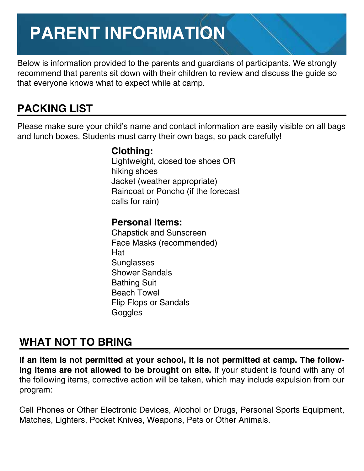## **PARENT INFORMATION**

Below is information provided to the parents and guardians of participants. We strongly recommend that parents sit down with their children to review and discuss the guide so that everyone knows what to expect while at camp.

### **PACKING LIST**

Please make sure your child's name and contact information are easily visible on all bags and lunch boxes. Students must carry their own bags, so pack carefully!

### **Clothing:**

Lightweight, closed toe shoes OR hiking shoes Jacket (weather appropriate) Raincoat or Poncho (if the forecast calls for rain)

### **Personal Items:**

Chapstick and Sunscreen Face Masks (recommended) Hat **Sunglasses** Shower Sandals Bathing Suit Beach Towel Flip Flops or Sandals **Goggles** 

### **WHAT NOT TO BRING**

**If an item is not permitted at your school, it is not permitted at camp. The following items are not allowed to be brought on site.** If your student is found with any of the following items, corrective action will be taken, which may include expulsion from our program:

Cell Phones or Other Electronic Devices, Alcohol or Drugs, Personal Sports Equipment, Matches, Lighters, Pocket Knives, Weapons, Pets or Other Animals.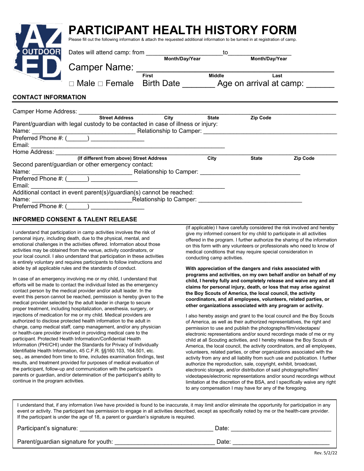|                            | <b>PARTICIPANT HEALTH HISTORY FORM</b><br>Please fill out the following information & attach the requested additional information to be turned in at registration of camp. |                         |              |              |                 |
|----------------------------|----------------------------------------------------------------------------------------------------------------------------------------------------------------------------|-------------------------|--------------|--------------|-----------------|
| <b>OUTDOOR</b>             |                                                                                                                                                                            |                         |              |              |                 |
|                            |                                                                                                                                                                            |                         |              |              |                 |
|                            | Camper Name: First Middle                                                                                                                                                  |                         |              | Last         |                 |
|                            | □ Male □ Female Birth Date ______ Age on arrival at camp: ______                                                                                                           |                         |              |              |                 |
| <b>CONTACT INFORMATION</b> |                                                                                                                                                                            |                         |              |              |                 |
|                            |                                                                                                                                                                            |                         |              |              |                 |
|                            | Camper Home Address: Street Address City                                                                                                                                   |                         | <b>State</b> | Zip Code     |                 |
|                            | Parent/guardian with legal custody to be contacted in case of illness or injury:                                                                                           |                         |              |              |                 |
|                            |                                                                                                                                                                            |                         |              |              |                 |
|                            |                                                                                                                                                                            |                         |              |              |                 |
|                            |                                                                                                                                                                            |                         |              |              |                 |
|                            | (If different from above) Street Address                                                                                                                                   |                         | City         | <b>State</b> | <b>Zip Code</b> |
|                            | Second parent/guardian or other emergency contact:                                                                                                                         |                         |              |              |                 |
|                            |                                                                                                                                                                            |                         |              |              |                 |
|                            | Preferred Phone #: (______) ________________                                                                                                                               |                         |              |              |                 |
|                            |                                                                                                                                                                            |                         |              |              |                 |
|                            | Additional contact in event parent(s)/guardian(s) cannot be reached:                                                                                                       |                         |              |              |                 |
| Name:                      |                                                                                                                                                                            | Relationship to Camper: |              |              |                 |

#### **INFORMED CONSENT & TALENT RELEASE**

Preferred Phone #: (

I understand that participation in camp activities involves the risk of personal injury, including death, due to the physical, mental, and emotional challenges in the activities offered. Information about those activities may be obtained from the venue, activity coordinators, or your local council. I also understand that participation in these activities is entirely voluntary and requires participants to follow instructions and abide by all applicable rules and the standards of conduct.

In case of an emergency involving me or my child, I understand that efforts will be made to contact the individual listed as the emergency contact person by the medical provider and/or adult leader. In the event this person cannot be reached, permission is hereby given to the medical provider selected by the adult leader in charge to secure proper treatment, including hospitalization, anesthesia, surgery, or injections of medication for me or my child. Medical providers are authorized to disclose protected health information to the adult in charge, camp medical staff, camp management, and/or any physician or health-care provider involved in providing medical care to the participant. Protected Health Information/Confidential Health Information (PHI/CHI) under the Standards for Privacy of Individually Identifiable Health Information, 45 C.F.R. §§160.103, 164.501, etc. seq., as amended from time to time, includes examination findings, test results, and treatment provided for purposes of medical evaluation of the participant, follow-up and communication with the participant's parents or guardian, and/or determination of the participant's ability to continue in the program activities.

(If applicable) I have carefully considered the risk involved and hereby give my informed consent for my child to participate in all activities offered in the program. I further authorize the sharing of the information on this form with any volunteers or professionals who need to know of medical conditions that may require special consideration in conducting camp activities.

**With appreciation of the dangers and risks associated with programs and activities, on my own behalf and/or on behalf of my child, I hereby fully and completely release and waive any and all claims for personal injury, death, or loss that may arise against the Boy Scouts of America, the local council, the activity coordinators, and all employees, volunteers, related parties, or other organizations associated with any program or activity.**

I also hereby assign and grant to the local council and the Boy Scouts of America, as well as their authorized representatives, the right and permission to use and publish the photographs/film/videotapes/ electronic representations and/or sound recordings made of me or my child at all Scouting activities, and I hereby release the Boy Scouts of America, the local council, the activity coordinators, and all employees, volunteers, related parties, or other organizations associated with the activity from any and all liability from such use and publication. I further authorize the reproduction, sale, copyright, exhibit, broadcast, electronic storage, and/or distribution of said photographs/film/ videotapes/electronic representations and/or sound recordings without limitation at the discretion of the BSA, and I specifically waive any right to any compensation I may have for any of the foregoing.

I understand that, if any information I/we have provided is found to be inaccurate, it may limit and/or eliminate the opportunity for participation in any event or activity. The participant has permission to engage in all activities described, except as specifically noted by me or the health-care provider. If the participant is under the age of 18, a parent or guardian's signature is required.

| Participant's signature:             | Date: |
|--------------------------------------|-------|
| Parent/guardian signature for youth: | Date. |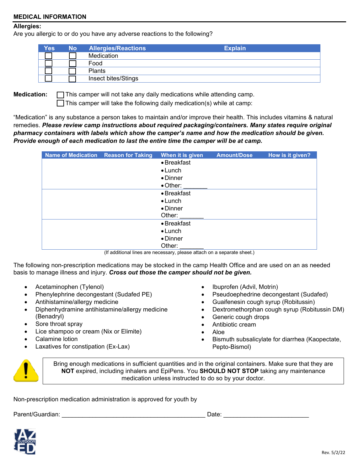#### **MEDICAL INFORMATION**

#### **Allergies:**

Are you allergic to or do you have any adverse reactions to the following?

| <b>Yes</b> | <b>No</b> | <b>Allergies/Reactions</b> | <b>Explain</b> |  |
|------------|-----------|----------------------------|----------------|--|
|            |           | Medication                 |                |  |
|            |           | Food                       |                |  |
|            |           | <b>Plants</b>              |                |  |
|            |           | Insect bites/Stings        |                |  |

**Medication: T**his camper will not take any daily medications while attending camp.  $\Box$  This camper will take the following daily medication(s) while at camp:

"Medication" is any substance a person takes to maintain and/or improve their health. This includes vitamins & natural remedies. *Please review camp instructions about required packaging/containers. Many states require original pharmacy containers with labels which show the camper's name and how the medication should be given. Provide enough of each medication to last the entire time the camper will be at camp.*

| <b>Name of Medication Reason for Taking</b> | When it is given | <b>Amount/Dose</b> | How is it given? |
|---------------------------------------------|------------------|--------------------|------------------|
|                                             | • Breakfast      |                    |                  |
|                                             | $\bullet$ Lunch  |                    |                  |
|                                             | $\bullet$ Dinner |                    |                  |
|                                             | $\bullet$ Other: |                    |                  |
|                                             | • Breakfast      |                    |                  |
|                                             | $\bullet$ Lunch  |                    |                  |
|                                             | • Dinner         |                    |                  |
|                                             | Other:           |                    |                  |
|                                             | • Breakfast      |                    |                  |
|                                             | $\bullet$ Lunch  |                    |                  |
|                                             | • Dinner         |                    |                  |
|                                             | Other:           |                    |                  |

(If additional lines are necessary, please attach on a separate sheet.)

The following non-prescription medications may be stocked in the camp Health Office and are used on an as needed basis to manage illness and injury. *Cross out those the camper should not be given.*

- Acetaminophen (Tylenol)
- Phenylephrine decongestant (Sudafed PE)
- Antihistamine/allergy medicine
- Diphenhydramine antihistamine/allergy medicine (Benadryl)
- Sore throat spray
- Lice shampoo or cream (Nix or Elimite)
- Calamine lotion
- Laxatives for constipation (Ex-Lax)
- Ibuprofen (Advil, Motrin)
- Pseudoephedrine decongestant (Sudafed)
- Guaifenesin cough syrup (Robitussin)
- Dextromethorphan cough syrup (Robitussin DM)
- Generic cough drops
- Antibiotic cream
- Aloe
- Bismuth subsalicylate for diarrhea (Kaopectate, Pepto-Bismol)



Bring enough medications in sufficient quantities and in the original containers. Make sure that they are **NOT** expired, including inhalers and EpiPens. You **SHOULD NOT STOP** taking any maintenance medication unless instructed to do so by your doctor.

Non-prescription medication administration is approved for youth by

Parent/Guardian: \_\_\_\_\_\_\_\_\_\_\_\_\_\_\_\_\_\_\_\_\_\_\_\_\_\_\_\_\_\_\_\_\_\_\_\_\_\_\_\_\_\_ Date: \_\_\_\_\_\_\_\_\_\_\_\_\_\_\_\_\_\_\_\_\_\_\_\_\_